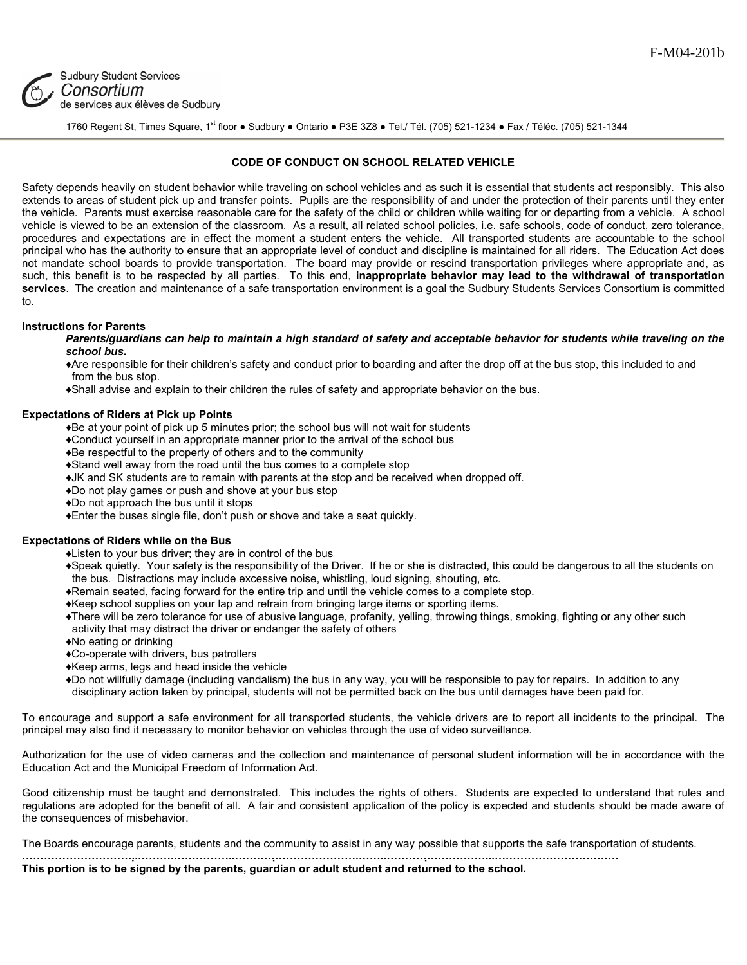

# **Sudbury Student Services** Consortium de services aux élèves de Sudbury

1760 Regent St, Times Square, 1st floor ● Sudbury ● Ontario ● P3E 3Z8 ● Tel./ Tél. (705) 521-1234 ● Fax / Téléc. (705) 521-1344

## **CODE OF CONDUCT ON SCHOOL RELATED VEHICLE**

Safety depends heavily on student behavior while traveling on school vehicles and as such it is essential that students act responsibly. This also extends to areas of student pick up and transfer points. Pupils are the responsibility of and under the protection of their parents until they enter the vehicle. Parents must exercise reasonable care for the safety of the child or children while waiting for or departing from a vehicle. A school vehicle is viewed to be an extension of the classroom. As a result, all related school policies, i.e. safe schools, code of conduct, zero tolerance, procedures and expectations are in effect the moment a student enters the vehicle. All transported students are accountable to the school principal who has the authority to ensure that an appropriate level of conduct and discipline is maintained for all riders. The Education Act does not mandate school boards to provide transportation. The board may provide or rescind transportation privileges where appropriate and, as such, this benefit is to be respected by all parties. To this end, **inappropriate behavior may lead to the withdrawal of transportation**  services. The creation and maintenance of a safe transportation environment is a goal the Sudbury Students Services Consortium is committed to.

### **Instructions for Parents**

Parents/guardians can help to maintain a high standard of safety and acceptable behavior for students while traveling on the *school bus.* 

♦Are responsible for their children's safety and conduct prior to boarding and after the drop off at the bus stop, this included to and from the bus stop.

♦Shall advise and explain to their children the rules of safety and appropriate behavior on the bus.

### **Expectations of Riders at Pick up Points**

♦Be at your point of pick up 5 minutes prior; the school bus will not wait for students

- ♦Conduct yourself in an appropriate manner prior to the arrival of the school bus
- ♦Be respectful to the property of others and to the community
- ♦Stand well away from the road until the bus comes to a complete stop
- ♦JK and SK students are to remain with parents at the stop and be received when dropped off.
- ♦Do not play games or push and shove at your bus stop
- ♦Do not approach the bus until it stops
- ♦Enter the buses single file, don't push or shove and take a seat quickly.

#### **Expectations of Riders while on the Bus**

- ♦Listen to your bus driver; they are in control of the bus
- ♦Speak quietly. Your safety is the responsibility of the Driver. If he or she is distracted, this could be dangerous to all the students on the bus. Distractions may include excessive noise, whistling, loud signing, shouting, etc.
- ♦Remain seated, facing forward for the entire trip and until the vehicle comes to a complete stop.
- ♦Keep school supplies on your lap and refrain from bringing large items or sporting items.
- ♦There will be zero tolerance for use of abusive language, profanity, yelling, throwing things, smoking, fighting or any other such activity that may distract the driver or endanger the safety of others
- ♦No eating or drinking
- ♦Co-operate with drivers, bus patrollers
- ♦Keep arms, legs and head inside the vehicle
- ♦Do not willfully damage (including vandalism) the bus in any way, you will be responsible to pay for repairs. In addition to any disciplinary action taken by principal, students will not be permitted back on the bus until damages have been paid for.

To encourage and support a safe environment for all transported students, the vehicle drivers are to report all incidents to the principal. The principal may also find it necessary to monitor behavior on vehicles through the use of video surveillance.

Authorization for the use of video cameras and the collection and maintenance of personal student information will be in accordance with the Education Act and the Municipal Freedom of Information Act.

Good citizenship must be taught and demonstrated. This includes the rights of others. Students are expected to understand that rules and regulations are adopted for the benefit of all. A fair and consistent application of the policy is expected and students should be made aware of the consequences of misbehavior.

The Boards encourage parents, students and the community to assist in any way possible that supports the safe transportation of students.

**…………………………..……….……………..…………………………….……..………………………...……………………………. This portion is to be signed by the parents, guardian or adult student and returned to the school.**